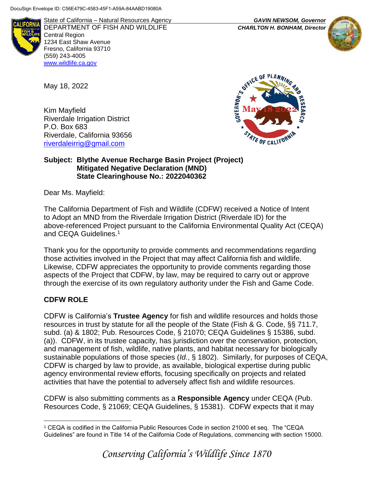

State of California – Natural Resources Agency *GAVIN NEWSOM, Governor* DEPARTMENT OF FISH AND WILDLIFE *CHARLTON H. BONHAM, Director*  Central Region 1234 East Shaw Avenue Fresno, California 93710 (559) 243-4005 [www.wildlife.ca.gov](http://www.cdfw.ca.gov/)

May 18, 2022

Kim Mayfield Riverdale Irrigation District P.O. Box 683 Riverdale, California 93656 [riverdaleirrig@gmail.com](mailto:riverdaleirrig@gmail.com)



#### **Subject: Blythe Avenue Recharge Basin Project (Project) Mitigated Negative Declaration (MND) State Clearinghouse No.: 2022040362**

Dear Ms. Mayfield:

The California Department of Fish and Wildlife (CDFW) received a Notice of Intent to Adopt an MND from the Riverdale Irrigation District (Riverdale ID) for the above-referenced Project pursuant to the California Environmental Quality Act (CEQA) and CEQA Guidelines.<sup>1</sup>

Thank you for the opportunity to provide comments and recommendations regarding those activities involved in the Project that may affect California fish and wildlife. Likewise, CDFW appreciates the opportunity to provide comments regarding those aspects of the Project that CDFW, by law, may be required to carry out or approve through the exercise of its own regulatory authority under the Fish and Game Code.

# **CDFW ROLE**

 $\overline{a}$ 

CDFW is California's **Trustee Agency** for fish and wildlife resources and holds those resources in trust by statute for all the people of the State (Fish & G. Code, §§ 711.7, subd. (a) & 1802; Pub. Resources Code, § 21070; CEQA Guidelines § 15386, subd. (a)). CDFW, in its trustee capacity, has jurisdiction over the conservation, protection, and management of fish, wildlife, native plants, and habitat necessary for biologically sustainable populations of those species (*Id.*, § 1802). Similarly, for purposes of CEQA, CDFW is charged by law to provide, as available, biological expertise during public agency environmental review efforts, focusing specifically on projects and related activities that have the potential to adversely affect fish and wildlife resources.

CDFW is also submitting comments as a **Responsible Agency** under CEQA (Pub. Resources Code, § 21069; CEQA Guidelines, § 15381). CDFW expects that it may





<sup>1</sup> CEQA is codified in the California Public Resources Code in section 21000 et seq. The "CEQA Guidelines" are found in Title 14 of the California Code of Regulations, commencing with section 15000.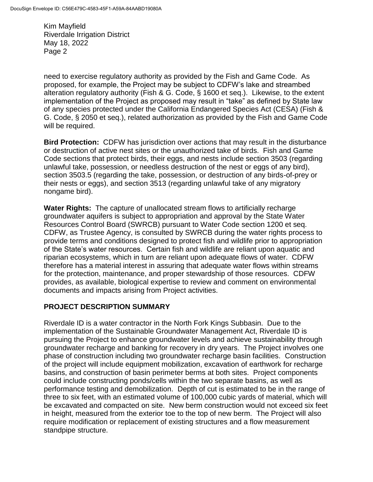need to exercise regulatory authority as provided by the Fish and Game Code. As proposed, for example, the Project may be subject to CDFW's lake and streambed alteration regulatory authority (Fish & G. Code, § 1600 et seq.). Likewise, to the extent implementation of the Project as proposed may result in "take" as defined by State law of any species protected under the California Endangered Species Act (CESA) (Fish & G. Code, § 2050 et seq.), related authorization as provided by the Fish and Game Code will be required.

**Bird Protection:** CDFW has jurisdiction over actions that may result in the disturbance or destruction of active nest sites or the unauthorized take of birds. Fish and Game Code sections that protect birds, their eggs, and nests include section 3503 (regarding unlawful take, possession, or needless destruction of the nest or eggs of any bird), section 3503.5 (regarding the take, possession, or destruction of any birds-of-prey or their nests or eggs), and section 3513 (regarding unlawful take of any migratory nongame bird).

**Water Rights:** The capture of unallocated stream flows to artificially recharge groundwater aquifers is subject to appropriation and approval by the State Water Resources Control Board (SWRCB) pursuant to Water Code section 1200 et seq. CDFW, as Trustee Agency, is consulted by SWRCB during the water rights process to provide terms and conditions designed to protect fish and wildlife prior to appropriation of the State's water resources. Certain fish and wildlife are reliant upon aquatic and riparian ecosystems, which in turn are reliant upon adequate flows of water. CDFW therefore has a material interest in assuring that adequate water flows within streams for the protection, maintenance, and proper stewardship of those resources. CDFW provides, as available, biological expertise to review and comment on environmental documents and impacts arising from Project activities.

# **PROJECT DESCRIPTION SUMMARY**

Riverdale ID is a water contractor in the North Fork Kings Subbasin. Due to the implementation of the Sustainable Groundwater Management Act, Riverdale ID is pursuing the Project to enhance groundwater levels and achieve sustainability through groundwater recharge and banking for recovery in dry years. The Project involves one phase of construction including two groundwater recharge basin facilities. Construction of the project will include equipment mobilization, excavation of earthwork for recharge basins, and construction of basin perimeter berms at both sites. Project components could include constructing ponds/cells within the two separate basins, as well as performance testing and demobilization. Depth of cut is estimated to be in the range of three to six feet, with an estimated volume of 100,000 cubic yards of material, which will be excavated and compacted on site. New berm construction would not exceed six feet in height, measured from the exterior toe to the top of new berm. The Project will also require modification or replacement of existing structures and a flow measurement standpipe structure.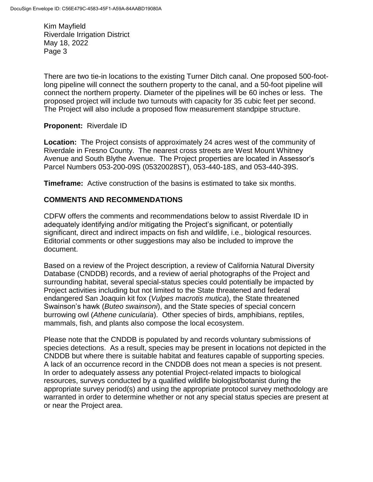There are two tie-in locations to the existing Turner Ditch canal. One proposed 500-footlong pipeline will connect the southern property to the canal, and a 50-foot pipeline will connect the northern property. Diameter of the pipelines will be 60 inches or less. The proposed project will include two turnouts with capacity for 35 cubic feet per second. The Project will also include a proposed flow measurement standpipe structure.

# **Proponent:** Riverdale ID

**Location:** The Project consists of approximately 24 acres west of the community of Riverdale in Fresno County. The nearest cross streets are West Mount Whitney Avenue and South Blythe Avenue. The Project properties are located in Assessor's Parcel Numbers 053-200-09S (05320028ST), 053-440-18S, and 053-440-39S.

**Timeframe:** Active construction of the basins is estimated to take six months.

## **COMMENTS AND RECOMMENDATIONS**

CDFW offers the comments and recommendations below to assist Riverdale ID in adequately identifying and/or mitigating the Project's significant, or potentially significant, direct and indirect impacts on fish and wildlife, i.e., biological resources. Editorial comments or other suggestions may also be included to improve the document.

Based on a review of the Project description, a review of California Natural Diversity Database (CNDDB) records, and a review of aerial photographs of the Project and surrounding habitat, several special-status species could potentially be impacted by Project activities including but not limited to the State threatened and federal endangered San Joaquin kit fox (*Vulpes macrotis mutica*), the State threatened Swainson's hawk (*Buteo swainsoni*), and the State species of special concern burrowing owl (*Athene cunicularia*). Other species of birds, amphibians, reptiles, mammals, fish, and plants also compose the local ecosystem.

Please note that the CNDDB is populated by and records voluntary submissions of species detections. As a result, species may be present in locations not depicted in the CNDDB but where there is suitable habitat and features capable of supporting species. A lack of an occurrence record in the CNDDB does not mean a species is not present. In order to adequately assess any potential Project-related impacts to biological resources, surveys conducted by a qualified wildlife biologist/botanist during the appropriate survey period(s) and using the appropriate protocol survey methodology are warranted in order to determine whether or not any special status species are present at or near the Project area.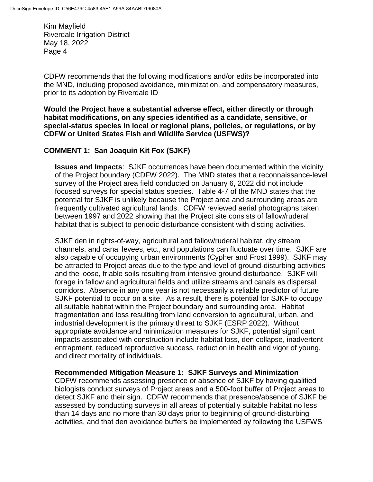CDFW recommends that the following modifications and/or edits be incorporated into the MND, including proposed avoidance, minimization, and compensatory measures, prior to its adoption by Riverdale ID

**Would the Project have a substantial adverse effect, either directly or through habitat modifications, on any species identified as a candidate, sensitive, or special-status species in local or regional plans, policies, or regulations, or by CDFW or United States Fish and Wildlife Service (USFWS)?**

## **COMMENT 1: San Joaquin Kit Fox (SJKF)**

**Issues and Impacts**: SJKF occurrences have been documented within the vicinity of the Project boundary (CDFW 2022). The MND states that a reconnaissance-level survey of the Project area field conducted on January 6, 2022 did not include focused surveys for special status species. Table 4-7 of the MND states that the potential for SJKF is unlikely because the Project area and surrounding areas are frequently cultivated agricultural lands. CDFW reviewed aerial photographs taken between 1997 and 2022 showing that the Project site consists of fallow/ruderal habitat that is subject to periodic disturbance consistent with discing activities.

SJKF den in rights-of-way, agricultural and fallow/ruderal habitat, dry stream channels, and canal levees, etc., and populations can fluctuate over time. SJKF are also capable of occupying urban environments (Cypher and Frost 1999). SJKF may be attracted to Project areas due to the type and level of ground-disturbing activities and the loose, friable soils resulting from intensive ground disturbance. SJKF will forage in fallow and agricultural fields and utilize streams and canals as dispersal corridors. Absence in any one year is not necessarily a reliable predictor of future SJKF potential to occur on a site. As a result, there is potential for SJKF to occupy all suitable habitat within the Project boundary and surrounding area. Habitat fragmentation and loss resulting from land conversion to agricultural, urban, and industrial development is the primary threat to SJKF (ESRP 2022). Without appropriate avoidance and minimization measures for SJKF, potential significant impacts associated with construction include habitat loss, den collapse, inadvertent entrapment, reduced reproductive success, reduction in health and vigor of young, and direct mortality of individuals.

### **Recommended Mitigation Measure 1: SJKF Surveys and Minimization**

CDFW recommends assessing presence or absence of SJKF by having qualified biologists conduct surveys of Project areas and a 500-foot buffer of Project areas to detect SJKF and their sign. CDFW recommends that presence/absence of SJKF be assessed by conducting surveys in all areas of potentially suitable habitat no less than 14 days and no more than 30 days prior to beginning of ground-disturbing activities, and that den avoidance buffers be implemented by following the USFWS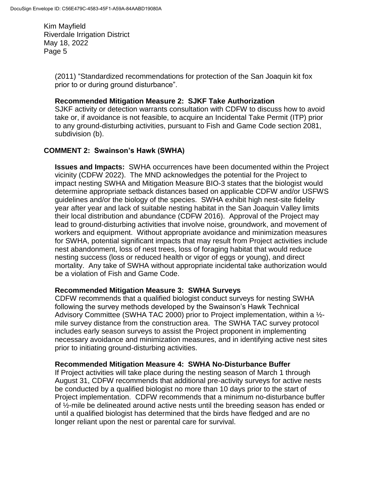> (2011) "Standardized recommendations for protection of the San Joaquin kit fox prior to or during ground disturbance".

#### **Recommended Mitigation Measure 2: SJKF Take Authorization**

SJKF activity or detection warrants consultation with CDFW to discuss how to avoid take or, if avoidance is not feasible, to acquire an Incidental Take Permit (ITP) prior to any ground-disturbing activities, pursuant to Fish and Game Code section 2081, subdivision (b).

## **COMMENT 2: Swainson's Hawk (SWHA)**

**Issues and Impacts:** SWHA occurrences have been documented within the Project vicinity (CDFW 2022).The MND acknowledges the potential for the Project to impact nesting SWHA and Mitigation Measure BIO-3 states that the biologist would determine appropriate setback distances based on applicable CDFW and/or USFWS guidelines and/or the biology of the species. SWHA exhibit high nest-site fidelity year after year and lack of suitable nesting habitat in the San Joaquin Valley limits their local distribution and abundance (CDFW 2016). Approval of the Project may lead to ground-disturbing activities that involve noise, groundwork, and movement of workers and equipment. Without appropriate avoidance and minimization measures for SWHA, potential significant impacts that may result from Project activities include nest abandonment, loss of nest trees, loss of foraging habitat that would reduce nesting success (loss or reduced health or vigor of eggs or young), and direct mortality. Any take of SWHA without appropriate incidental take authorization would be a violation of Fish and Game Code.

#### **Recommended Mitigation Measure 3: SWHA Surveys**

CDFW recommends that a qualified biologist conduct surveys for nesting SWHA following the survey methods developed by the Swainson's Hawk Technical Advisory Committee (SWHA TAC 2000) prior to Project implementation, within a ½ mile survey distance from the construction area. The SWHA TAC survey protocol includes early season surveys to assist the Project proponent in implementing necessary avoidance and minimization measures, and in identifying active nest sites prior to initiating ground-disturbing activities.

### **Recommended Mitigation Measure 4: SWHA No-Disturbance Buffer**

If Project activities will take place during the nesting season of March 1 through August 31, CDFW recommends that additional pre-activity surveys for active nests be conducted by a qualified biologist no more than 10 days prior to the start of Project implementation. CDFW recommends that a minimum no-disturbance buffer of ½-mile be delineated around active nests until the breeding season has ended or until a qualified biologist has determined that the birds have fledged and are no longer reliant upon the nest or parental care for survival.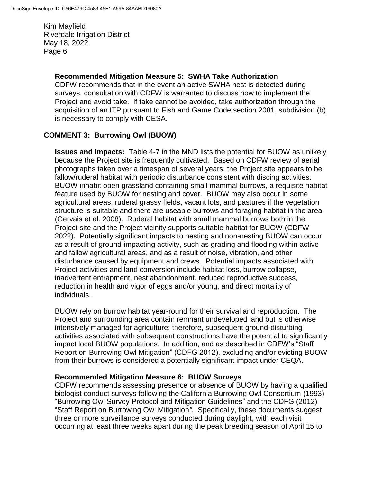#### **Recommended Mitigation Measure 5: SWHA Take Authorization**

CDFW recommends that in the event an active SWHA nest is detected during surveys, consultation with CDFW is warranted to discuss how to implement the Project and avoid take. If take cannot be avoided, take authorization through the acquisition of an ITP pursuant to Fish and Game Code section 2081, subdivision (b) is necessary to comply with CESA.

## **COMMENT 3: Burrowing Owl (BUOW)**

**Issues and Impacts:** Table 4-7 in the MND lists the potential for BUOW as unlikely because the Project site is frequently cultivated. Based on CDFW review of aerial photographs taken over a timespan of several years, the Project site appears to be fallow/ruderal habitat with periodic disturbance consistent with discing activities. BUOW inhabit open grassland containing small mammal burrows, a requisite habitat feature used by BUOW for nesting and cover. BUOW may also occur in some agricultural areas, ruderal grassy fields, vacant lots, and pastures if the vegetation structure is suitable and there are useable burrows and foraging habitat in the area (Gervais et al. 2008). Ruderal habitat with small mammal burrows both in the Project site and the Project vicinity supports suitable habitat for BUOW (CDFW 2022). Potentially significant impacts to nesting and non-nesting BUOW can occur as a result of ground-impacting activity, such as grading and flooding within active and fallow agricultural areas, and as a result of noise, vibration, and other disturbance caused by equipment and crews. Potential impacts associated with Project activities and land conversion include habitat loss, burrow collapse, inadvertent entrapment, nest abandonment, reduced reproductive success, reduction in health and vigor of eggs and/or young, and direct mortality of individuals.

BUOW rely on burrow habitat year-round for their survival and reproduction. The Project and surrounding area contain remnant undeveloped land but is otherwise intensively managed for agriculture; therefore, subsequent ground-disturbing activities associated with subsequent constructions have the potential to significantly impact local BUOW populations. In addition, and as described in CDFW's "Staff Report on Burrowing Owl Mitigation" (CDFG 2012), excluding and/or evicting BUOW from their burrows is considered a potentially significant impact under CEQA.

### **Recommended Mitigation Measure 6: BUOW Surveys**

CDFW recommends assessing presence or absence of BUOW by having a qualified biologist conduct surveys following the California Burrowing Owl Consortium (1993) "Burrowing Owl Survey Protocol and Mitigation Guidelines" and the CDFG (2012) "Staff Report on Burrowing Owl Mitigation*"*. Specifically, these documents suggest three or more surveillance surveys conducted during daylight, with each visit occurring at least three weeks apart during the peak breeding season of April 15 to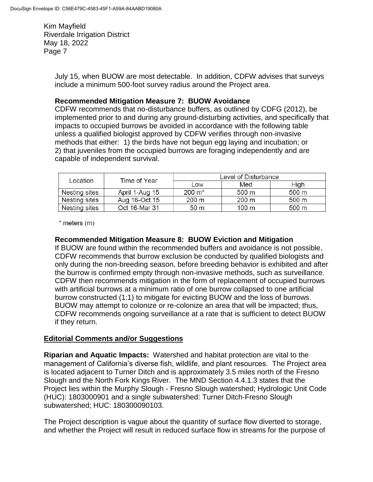> July 15, when BUOW are most detectable. In addition, CDFW advises that surveys include a minimum 500-foot survey radius around the Project area.

### **Recommended Mitigation Measure 7: BUOW Avoidance**

CDFW recommends that no-disturbance buffers, as outlined by CDFG (2012), be implemented prior to and during any ground-disturbing activities, and specifically that impacts to occupied burrows be avoided in accordance with the following table unless a qualified biologist approved by CDFW verifies through non-invasive methods that either: 1) the birds have not begun egg laying and incubation; or 2) that juveniles from the occupied burrows are foraging independently and are capable of independent survival.

| Location      | Time of Year   | Level of Disturbance |       |       |
|---------------|----------------|----------------------|-------|-------|
|               |                | Low                  | Med   | High  |
| Nesting sites | April 1-Aug 15 | $200 \; \text{m}^*$  | 500 m | 500 m |
| Nesting sites | Aug 16-Oct 15  | 200 m                | 200 m | 500 m |
| Nesting sites | Oct 16-Mar 31  | 50 m                 | 100 m | 500 m |

 $*$  meters  $(m)$ 

### **Recommended Mitigation Measure 8: BUOW Eviction and Mitigation**

If BUOW are found within the recommended buffers and avoidance is not possible, CDFW recommends that burrow exclusion be conducted by qualified biologists and only during the non-breeding season, before breeding behavior is exhibited and after the burrow is confirmed empty through non-invasive methods, such as surveillance. CDFW then recommends mitigation in the form of replacement of occupied burrows with artificial burrows at a minimum ratio of one burrow collapsed to one artificial burrow constructed (1:1) to mitigate for evicting BUOW and the loss of burrows. BUOW may attempt to colonize or re-colonize an area that will be impacted; thus, CDFW recommends ongoing surveillance at a rate that is sufficient to detect BUOW if they return.

# **Editorial Comments and/or Suggestions**

**Riparian and Aquatic Impacts:** Watershed and habitat protection are vital to the management of California's diverse fish, wildlife, and plant resources. The Project area is located adjacent to Turner Ditch and is approximately 3.5 miles north of the Fresno Slough and the North Fork Kings River. The MND Section 4.4.1.3 states that the Project lies within the Murphy Slough - Fresno Slough watershed; Hydrologic Unit Code (HUC): 1803000901 and a single subwatershed: Turner Ditch-Fresno Slough subwatershed; HUC: 180300090103.

The Project description is vague about the quantity of surface flow diverted to storage, and whether the Project will result in reduced surface flow in streams for the purpose of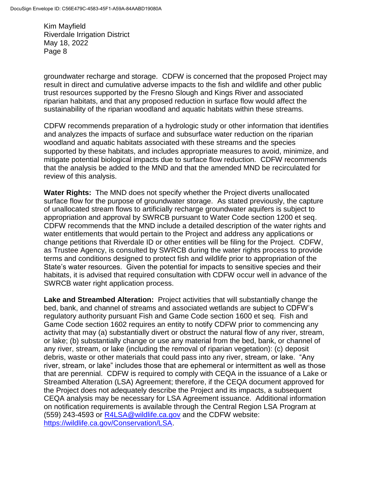groundwater recharge and storage. CDFW is concerned that the proposed Project may result in direct and cumulative adverse impacts to the fish and wildlife and other public trust resources supported by the Fresno Slough and Kings River and associated riparian habitats, and that any proposed reduction in surface flow would affect the sustainability of the riparian woodland and aquatic habitats within these streams.

CDFW recommends preparation of a hydrologic study or other information that identifies and analyzes the impacts of surface and subsurface water reduction on the riparian woodland and aquatic habitats associated with these streams and the species supported by these habitats, and includes appropriate measures to avoid, minimize, and mitigate potential biological impacts due to surface flow reduction. CDFW recommends that the analysis be added to the MND and that the amended MND be recirculated for review of this analysis.

**Water Rights:** The MND does not specify whether the Project diverts unallocated surface flow for the purpose of groundwater storage. As stated previously, the capture of unallocated stream flows to artificially recharge groundwater aquifers is subject to appropriation and approval by SWRCB pursuant to Water Code section 1200 et seq. CDFW recommends that the MND include a detailed description of the water rights and water entitlements that would pertain to the Project and address any applications or change petitions that Riverdale ID or other entities will be filing for the Project. CDFW, as Trustee Agency, is consulted by SWRCB during the water rights process to provide terms and conditions designed to protect fish and wildlife prior to appropriation of the State's water resources. Given the potential for impacts to sensitive species and their habitats, it is advised that required consultation with CDFW occur well in advance of the SWRCB water right application process.

**Lake and Streambed Alteration:** Project activities that will substantially change the bed, bank, and channel of streams and associated wetlands are subject to CDFW's regulatory authority pursuant Fish and Game Code section 1600 et seq. Fish and Game Code section 1602 requires an entity to notify CDFW prior to commencing any activity that may (a) substantially divert or obstruct the natural flow of any river, stream, or lake; (b) substantially change or use any material from the bed, bank, or channel of any river, stream, or lake (including the removal of riparian vegetation): (c) deposit debris, waste or other materials that could pass into any river, stream, or lake. "Any river, stream, or lake" includes those that are ephemeral or intermittent as well as those that are perennial. CDFW is required to comply with CEQA in the issuance of a Lake or Streambed Alteration (LSA) Agreement; therefore, if the CEQA document approved for the Project does not adequately describe the Project and its impacts, a subsequent CEQA analysis may be necessary for LSA Agreement issuance. Additional information on notification requirements is available through the Central Region LSA Program at (559) 243-4593 or [R4LSA@wildlife.ca.gov](mailto:R4LSA@wildlife.ca.gov) and the CDFW website: [https://wildlife.ca.gov/Conservation/LSA.](https://wildlife.ca.gov/Conservation/LSA)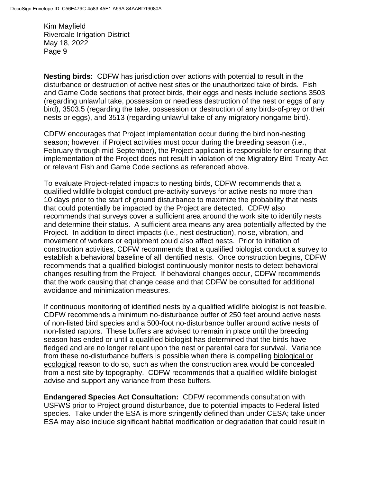**Nesting birds:** CDFW has jurisdiction over actions with potential to result in the disturbance or destruction of active nest sites or the unauthorized take of birds. Fish and Game Code sections that protect birds, their eggs and nests include sections 3503 (regarding unlawful take, possession or needless destruction of the nest or eggs of any bird), 3503.5 (regarding the take, possession or destruction of any birds-of-prey or their nests or eggs), and 3513 (regarding unlawful take of any migratory nongame bird).

CDFW encourages that Project implementation occur during the bird non-nesting season; however, if Project activities must occur during the breeding season (i.e., February through mid-September), the Project applicant is responsible for ensuring that implementation of the Project does not result in violation of the Migratory Bird Treaty Act or relevant Fish and Game Code sections as referenced above.

To evaluate Project-related impacts to nesting birds, CDFW recommends that a qualified wildlife biologist conduct pre-activity surveys for active nests no more than 10 days prior to the start of ground disturbance to maximize the probability that nests that could potentially be impacted by the Project are detected. CDFW also recommends that surveys cover a sufficient area around the work site to identify nests and determine their status. A sufficient area means any area potentially affected by the Project. In addition to direct impacts (i.e., nest destruction), noise, vibration, and movement of workers or equipment could also affect nests. Prior to initiation of construction activities, CDFW recommends that a qualified biologist conduct a survey to establish a behavioral baseline of all identified nests. Once construction begins, CDFW recommends that a qualified biologist continuously monitor nests to detect behavioral changes resulting from the Project. If behavioral changes occur, CDFW recommends that the work causing that change cease and that CDFW be consulted for additional avoidance and minimization measures.

If continuous monitoring of identified nests by a qualified wildlife biologist is not feasible, CDFW recommends a minimum no-disturbance buffer of 250 feet around active nests of non-listed bird species and a 500-foot no-disturbance buffer around active nests of non-listed raptors. These buffers are advised to remain in place until the breeding season has ended or until a qualified biologist has determined that the birds have fledged and are no longer reliant upon the nest or parental care for survival. Variance from these no-disturbance buffers is possible when there is compelling biological or ecological reason to do so, such as when the construction area would be concealed from a nest site by topography. CDFW recommends that a qualified wildlife biologist advise and support any variance from these buffers.

**Endangered Species Act Consultation:** CDFW recommends consultation with USFWS prior to Project ground disturbance, due to potential impacts to Federal listed species. Take under the ESA is more stringently defined than under CESA; take under ESA may also include significant habitat modification or degradation that could result in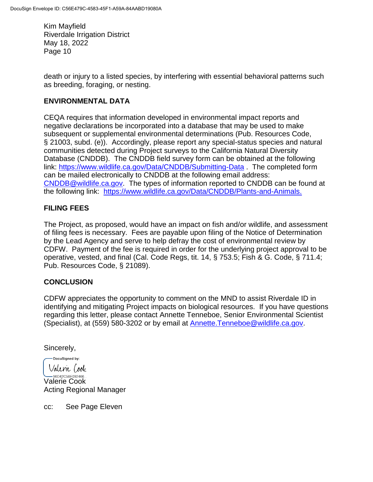death or injury to a listed species, by interfering with essential behavioral patterns such as breeding, foraging, or nesting.

#### **ENVIRONMENTAL DATA**

CEQA requires that information developed in environmental impact reports and negative declarations be incorporated into a database that may be used to make subsequent or supplemental environmental determinations (Pub. Resources Code, § 21003, subd. (e)). Accordingly, please report any special-status species and natural communities detected during Project surveys to the California Natural Diversity Database (CNDDB). The CNDDB field survey form can be obtained at the following link:<https://www.wildlife.ca.gov/Data/CNDDB/Submitting-Data> . The completed form can be mailed electronically to CNDDB at the following email address: [CNDDB@wildlife.ca.gov.](mailto:cnddb@dfg.ca.gov) The types of information reported to CNDDB can be found at the following link: [https://www.wildlife.ca.gov/Data/CNDDB/Plants-and-Animals.](https://www.wildlife.ca.gov/Data/CNDDB/Plants-and-Animals)

## **FILING FEES**

The Project, as proposed, would have an impact on fish and/or wildlife, and assessment of filing fees is necessary. Fees are payable upon filing of the Notice of Determination by the Lead Agency and serve to help defray the cost of environmental review by CDFW. Payment of the fee is required in order for the underlying project approval to be operative, vested, and final (Cal. Code Regs, tit. 14, § 753.5; Fish & G. Code, § 711.4; Pub. Resources Code, § 21089).

### **CONCLUSION**

CDFW appreciates the opportunity to comment on the MND to assist Riverdale ID in identifying and mitigating Project impacts on biological resources. If you have questions regarding this letter, please contact Annette Tenneboe, Senior Environmental Scientist (Specialist), at (559) 580-3202 or by email at [Annette.Tenneboe@wildlife.ca.gov.](mailto:Annette.Tenneboe@wildlife.ca.gov)

Sincerely,

DocuSigned by: Valenie (ook

-96D42C58E092466... Valerie Cook Acting Regional Manager

cc: See Page Eleven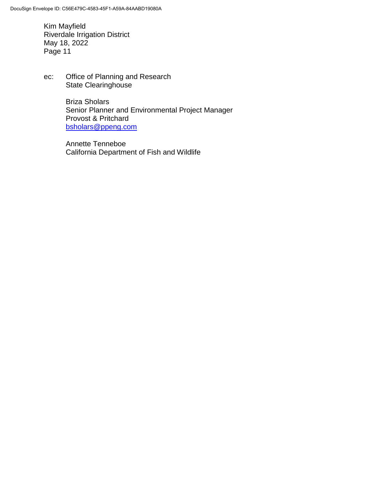ec: Office of Planning and Research State Clearinghouse

> Briza Sholars Senior Planner and Environmental Project Manager Provost & Pritchard [bsholars@ppeng.com](mailto:bsholars@ppeng.com)

Annette Tenneboe California Department of Fish and Wildlife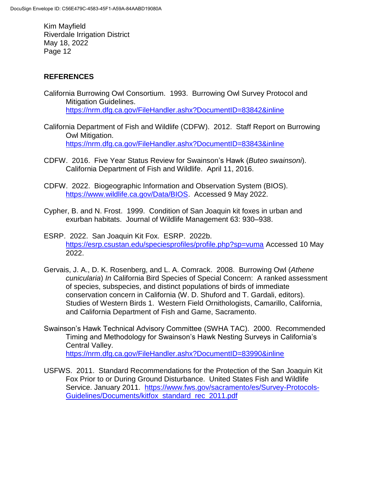# **REFERENCES**

- California Burrowing Owl Consortium. 1993. Burrowing Owl Survey Protocol and Mitigation Guidelines. <https://nrm.dfg.ca.gov/FileHandler.ashx?DocumentID=83842&inline>
- California Department of Fish and Wildlife (CDFW). 2012. Staff Report on Burrowing Owl Mitigation. <https://nrm.dfg.ca.gov/FileHandler.ashx?DocumentID=83843&inline>
- CDFW. 2016. Five Year Status Review for Swainson's Hawk (*Buteo swainsoni*). California Department of Fish and Wildlife. April 11, 2016.
- CDFW. 2022. Biogeographic Information and Observation System (BIOS). [https://www.wildlife.ca.gov/Data/BIOS.](https://www.wildlife.ca.gov/Data/BIOS) Accessed 9 May 2022.
- Cypher, B. and N. Frost. 1999. Condition of San Joaquin kit foxes in urban and exurban habitats. Journal of Wildlife Management 63: 930–938.
- ESRP. 2022. San Joaquin Kit Fox. ESRP. 2022b. <https://esrp.csustan.edu/speciesprofiles/profile.php?sp=vuma> Accessed 10 May 2022.
- Gervais, J. A., D. K. Rosenberg, and L. A. Comrack. 2008. Burrowing Owl (*Athene cunicularia*) *In* California Bird Species of Special Concern: A ranked assessment of species, subspecies, and distinct populations of birds of immediate conservation concern in California (W. D. Shuford and T. Gardali, editors). Studies of Western Birds 1. Western Field Ornithologists, Camarillo, California, and California Department of Fish and Game, Sacramento.
- Swainson's Hawk Technical Advisory Committee (SWHA TAC). 2000. Recommended Timing and Methodology for Swainson's Hawk Nesting Surveys in California's Central Valley. <https://nrm.dfg.ca.gov/FileHandler.ashx?DocumentID=83990&inline>
- USFWS. 2011. Standard Recommendations for the Protection of the San Joaquin Kit Fox Prior to or During Ground Disturbance. United States Fish and Wildlife Service. January 2011. [https://www.fws.gov/sacramento/es/Survey-Protocols-](https://www.fws.gov/sacramento/es/Survey-Protocols-Guidelines/Documents/kitfox_standard_rec_2011.pdf)[Guidelines/Documents/kitfox\\_standard\\_rec\\_2011.pdf](https://www.fws.gov/sacramento/es/Survey-Protocols-Guidelines/Documents/kitfox_standard_rec_2011.pdf)